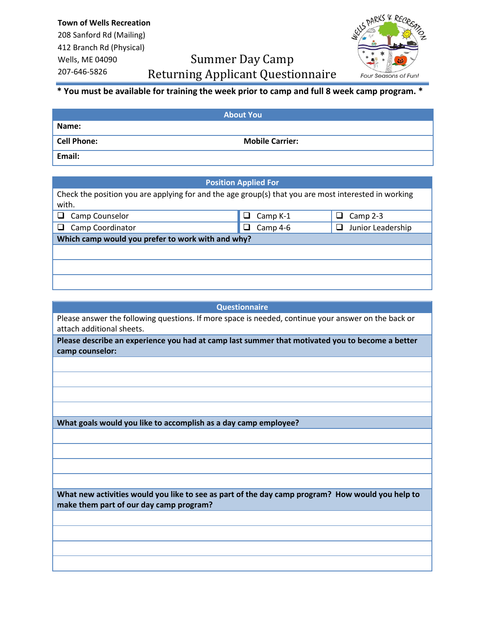## Summer Day Camp Returning Applicant Questionnaire



## **\* You must be available for training the week prior to camp and full 8 week camp program. \***

| <b>About You</b>   |                        |  |
|--------------------|------------------------|--|
| Name:              |                        |  |
| <b>Cell Phone:</b> | <b>Mobile Carrier:</b> |  |
| Email:             |                        |  |

| <b>Position Applied For</b>                                                                          |                      |                             |  |
|------------------------------------------------------------------------------------------------------|----------------------|-----------------------------|--|
| Check the position you are applying for and the age group(s) that you are most interested in working |                      |                             |  |
| with.                                                                                                |                      |                             |  |
| Camp Counselor                                                                                       | Camp K-1<br>ப        | Camp 2-3<br>ப               |  |
| Camp Coordinator                                                                                     | Camp 4-6<br>$\sqcup$ | Junior Leadership<br>$\Box$ |  |
| Which camp would you prefer to work with and why?                                                    |                      |                             |  |
|                                                                                                      |                      |                             |  |
|                                                                                                      |                      |                             |  |
|                                                                                                      |                      |                             |  |

| <b>Questionnaire</b>                                                                                                                        |  |  |
|---------------------------------------------------------------------------------------------------------------------------------------------|--|--|
| Please answer the following questions. If more space is needed, continue your answer on the back or<br>attach additional sheets.            |  |  |
| Please describe an experience you had at camp last summer that motivated you to become a better<br>camp counselor:                          |  |  |
|                                                                                                                                             |  |  |
|                                                                                                                                             |  |  |
|                                                                                                                                             |  |  |
|                                                                                                                                             |  |  |
| What goals would you like to accomplish as a day camp employee?                                                                             |  |  |
|                                                                                                                                             |  |  |
|                                                                                                                                             |  |  |
|                                                                                                                                             |  |  |
|                                                                                                                                             |  |  |
| What new activities would you like to see as part of the day camp program? How would you help to<br>make them part of our day camp program? |  |  |